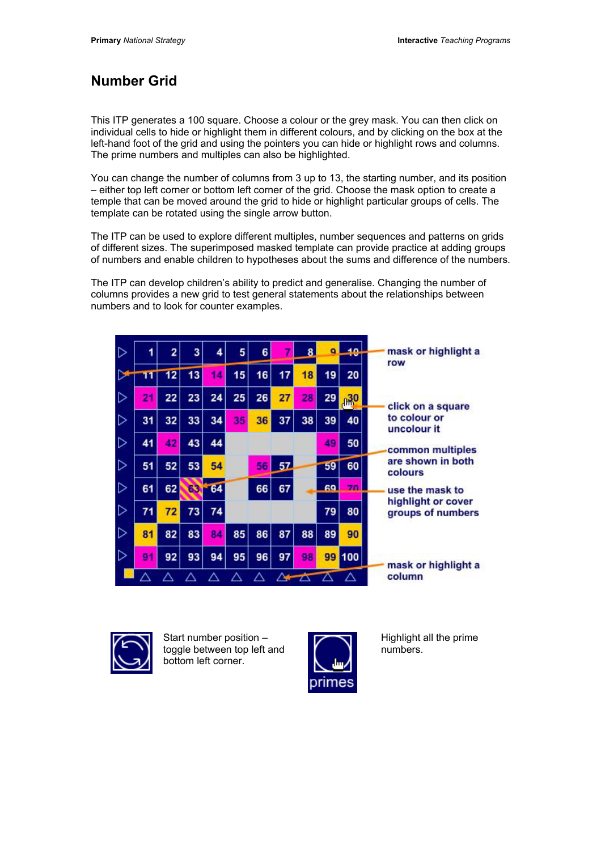## **Number Grid**

This ITP generates a 100 square. Choose a colour or the grey mask. You can then click on individual cells to hide or highlight them in different colours, and by clicking on the box at the left-hand foot of the grid and using the pointers you can hide or highlight rows and columns. The prime numbers and multiples can also be highlighted.

You can change the number of columns from 3 up to 13, the starting number, and its position – either top left corner or bottom left corner of the grid. Choose the mask option to create a temple that can be moved around the grid to hide or highlight particular groups of cells. The template can be rotated using the single arrow button.

The ITP can be used to explore different multiples, number sequences and patterns on grids of different sizes. The superimposed masked template can provide practice at adding groups of numbers and enable children to hypotheses about the sums and difference of the numbers.

The ITP can develop children's ability to predict and generalise. Changing the number of columns provides a new grid to test general statements about the relationships between numbers and to look for counter examples.

| D |    | $\overline{2}$ | 3   | 4  | 5  | 6  |    |    | $\alpha$ |                 | mask or highlight a<br>row              |
|---|----|----------------|-----|----|----|----|----|----|----------|-----------------|-----------------------------------------|
| ⊵ | 11 | 12             | 13  | 14 | 15 | 16 | 17 | 18 | 19       | 20              |                                         |
| ▷ | 21 | 22             | 23  | 24 | 25 | 26 | 27 | 28 | 29       | A <sup>30</sup> | click on a square                       |
| ⊳ | 31 | 32             | 33  | 34 | 35 | 36 | 37 | 38 | 39       | 40              | to colour or<br>uncolour it             |
| D | 41 | 42             | 43  | 44 |    |    |    |    | 49       | 50              | common multiples                        |
| ▷ | 51 | 52             | 53  | 54 |    | 56 | 57 |    | 59       | 60              | are shown in both<br>colours            |
| ▷ | 61 | 62             | 63. | 64 |    | 66 | 67 |    | 69       | 70              | use the mask to                         |
| ▷ | 71 | 72             | 73  | 74 |    |    |    |    | 79       | 80              | highlight or cover<br>groups of numbers |
| ▷ | 81 | 82             | 83  | 84 | 85 | 86 | 87 | 88 | 89       | 90              |                                         |
| ▷ | 91 | 92             | 93  | 94 | 95 | 96 | 97 | 98 | 99       | 100             | mask or highlight a                     |
|   |    |                |     |    |    |    |    |    |          |                 | column                                  |



Start number position – toggle between top left and bottom left corner.



Highlight all the prime numbers.